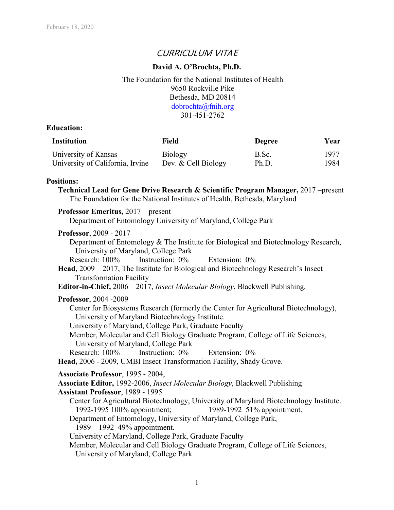# CURRICULUM VITAE

## **David A. O'Brochta, Ph.D.**

The Foundation for the National Institutes of Health 9650 Rockville Pike Bethesda, MD 20814 [dobrochta@fnih.org](mailto:dobrochta@fnih.org) 301-451-2762

## **Education:**

| <b>Institution</b>               | Field               | Degree | Year |
|----------------------------------|---------------------|--------|------|
| University of Kansas             | Biology             | B.Sc.  | 1977 |
| University of California, Irvine | Dev. & Cell Biology | Ph.D.  | 1984 |

## **Positions:**

**Technical Lead for Gene Drive Research & Scientific Program Manager,** 2017 –present The Foundation for the National Institutes of Health, Bethesda, Maryland

## **Professor Emeritus,** 2017 – present

Department of Entomology University of Maryland, College Park

## **Professor**, 2009 - 2017

Department of Entomology & The Institute for Biological and Biotechnology Research, University of Maryland, College Park Research: 100% Instruction: 0% Extension: 0% **Head,** 2009 – 2017, The Institute for Biological and Biotechnology Research's Insect Transformation Facility **Editor-in-Chief,** 2006 – 2017, *Insect Molecular Biology*, Blackwell Publishing. **Professor**, 2004 -2009 Center for Biosystems Research (formerly the Center for Agricultural Biotechnology), University of Maryland Biotechnology Institute. University of Maryland, College Park, Graduate Faculty Member, Molecular and Cell Biology Graduate Program, College of Life Sciences, University of Maryland, College Park

Research: 100% Instruction: 0% Extension: 0%

**Head,** 2006 - 2009, UMBI Insect Transformation Facility, Shady Grove.

## **Associate Professor**, 1995 - 2004,

**Associate Editor,** 1992-2006, *Insect Molecular Biology*, Blackwell Publishing

**Assistant Professor**, 1989 - 1995

Center for Agricultural Biotechnology, University of Maryland Biotechnology Institute. 1992-1995 100% appointment; 1989-1992 51% appointment.

Department of Entomology, University of Maryland, College Park,

1989 – 1992 49% appointment.

University of Maryland, College Park, Graduate Faculty

Member, Molecular and Cell Biology Graduate Program, College of Life Sciences, University of Maryland, College Park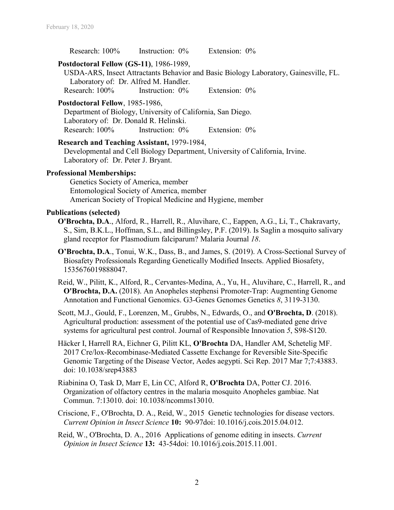Research: 100% Instruction: 0% Extension: 0%

## **Postdoctoral Fellow (GS-11)**, 1986-1989,

USDA-ARS, Insect Attractants Behavior and Basic Biology Laboratory, Gainesville, FL. Laboratory of: Dr. Alfred M. Handler. Research: 100% Instruction: 0% Extension: 0%

## **Postdoctoral Fellow**, 1985-1986,

Department of Biology, University of California, San Diego. Laboratory of: Dr. Donald R. Helinski. Research: 100% Instruction: 0% Extension: 0%

#### **Research and Teaching Assistant,** 1979-1984,

Developmental and Cell Biology Department, University of California, Irvine. Laboratory of: Dr. Peter J. Bryant.

## **Professional Memberships:**

Genetics Society of America, member Entomological Society of America, member American Society of Tropical Medicine and Hygiene, member

#### **Publications (selected)**

**O'Brochta, D.A**., Alford, R., Harrell, R., Aluvihare, C., Eappen, A.G., Li, T., Chakravarty, S., Sim, B.K.L., Hoffman, S.L., and Billingsley, P.F. (2019). Is Saglin a mosquito salivary gland receptor for Plasmodium falciparum? Malaria Journal *18*.

- **O'Brochta, D.A**., Tonui, W.K., Dass, B., and James, S. (2019). A Cross-Sectional Survey of Biosafety Professionals Regarding Genetically Modified Insects. Applied Biosafety, 1535676019888047.
- Reid, W., Pilitt, K., Alford, R., Cervantes-Medina, A., Yu, H., Aluvihare, C., Harrell, R., and **O'Brochta, D.A.** (2018). An Anopheles stephensi Promoter-Trap: Augmenting Genome Annotation and Functional Genomics. G3-Genes Genomes Genetics *8*, 3119-3130.

Scott, M.J., Gould, F., Lorenzen, M., Grubbs, N., Edwards, O., and **O'Brochta, D**. (2018). Agricultural production: assessment of the potential use of Cas9-mediated gene drive systems for agricultural pest control. Journal of Responsible Innovation *5*, S98-S120.

- Häcker I, Harrell RA, Eichner G, Pilitt KL, **O'Brochta** DA, Handler AM, Schetelig MF. 2017 Cre/lox-Recombinase-Mediated Cassette Exchange for Reversible Site-Specific Genomic Targeting of the Disease Vector, Aedes aegypti. Sci Rep. 2017 Mar 7;7:43883. doi: 10.1038/srep43883
- Riabinina O, Task D, Marr E, Lin CC, Alford R, **O'Brochta** DA, Potter CJ. 2016. Organization of olfactory centres in the malaria mosquito Anopheles gambiae. Nat Commun. 7:13010. doi: 10.1038/ncomms13010.
- Criscione, F., O'Brochta, D. A., Reid, W., 2015 Genetic technologies for disease vectors. *Current Opinion in Insect Science* **10:** 90-97doi: 10.1016/j.cois.2015.04.012.
- Reid, W., O'Brochta, D. A., 2016 Applications of genome editing in insects. *Current Opinion in Insect Science* **13:** 43-54doi: 10.1016/j.cois.2015.11.001.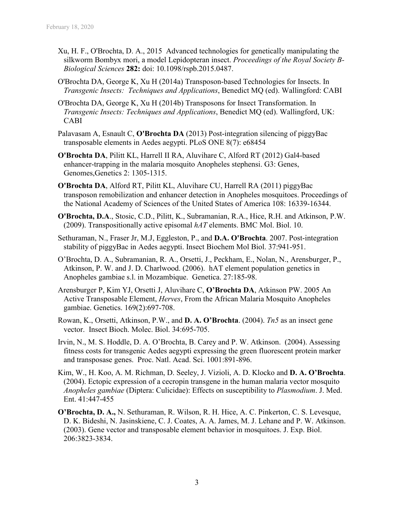- Xu, H. F., O'Brochta, D. A., 2015 Advanced technologies for genetically manipulating the silkworm Bombyx mori, a model Lepidopteran insect. *Proceedings of the Royal Society B-Biological Sciences* **282:** doi: 10.1098/rspb.2015.0487.
- O'Brochta DA, George K, Xu H (2014a) Transposon-based Technologies for Insects. In *Transgenic Insects: Techniques and Applications*, Benedict MQ (ed). Wallingford: CABI
- O'Brochta DA, George K, Xu H (2014b) Transposons for Insect Transformation. In *Transgenic Insects: Techniques and Applications*, Benedict MQ (ed). Wallingford, UK: CABI
- Palavasam A, Esnault C, **O'Brochta DA** (2013) Post-integration silencing of piggyBac transposable elements in Aedes aegypti. PLoS ONE 8(7): e68454
- **O'Brochta DA**, Pilitt KL, Harrell II RA, Aluvihare C, Alford RT (2012) Gal4-based enhancer-trapping in the malaria mosquito Anopheles stephensi. G3: Genes, Genomes,Genetics 2: 1305-1315.
- **O'Brochta DA**, Alford RT, Pilitt KL, Aluvihare CU, Harrell RA (2011) piggyBac transposon remobilization and enhancer detection in Anopheles mosquitoes. Proceedings of the National Academy of Sciences of the United States of America 108: 16339-16344.
- **O'Brochta, D.A**., Stosic, C.D., Pilitt, K., Subramanian, R.A., Hice, R.H. and Atkinson, P.W. (2009). Transpositionally active episomal *hAT* elements. BMC Mol. Biol. 10.
- Sethuraman, N., Fraser Jr, M.J, Eggleston, P., and **D.A. O'Brochta**. 2007. Post-integration stability of piggyBac in Aedes aegypti. Insect Biochem Mol Biol. 37:941-951.
- O'Brochta, D. A., Subramanian, R. A., Orsetti, J., Peckham, E., Nolan, N., Arensburger, P., Atkinson, P. W. and J. D. Charlwood. (2006). hAT element population genetics in Anopheles gambiae s.l. in Mozambique. Genetica. 27:185-98.
- Arensburger P, Kim YJ, Orsetti J, Aluvihare C, **O'Brochta DA**, Atkinson PW. 2005 An Active Transposable Element, *Herves*, From the African Malaria Mosquito Anopheles gambiae. Genetics. 169(2):697-708.
- Rowan, K., Orsetti, Atkinson, P.W., and **D. A. O'Brochta**. (2004). *Tn5* as an insect gene vector. Insect Bioch. Molec. Biol. 34:695-705.
- Irvin, N., M. S. Hoddle, D. A. O'Brochta, B. Carey and P. W. Atkinson. (2004). Assessing fitness costs for transgenic Aedes aegypti expressing the green fluorescent protein marker and transposase genes. Proc. Natl. Acad. Sci. 1001:891-896.
- Kim, W., H. Koo, A. M. Richman, D. Seeley, J. Vizioli, A. D. Klocko and **D. A. O'Brochta**. (2004). Ectopic expression of a cecropin transgene in the human malaria vector mosquito *Anopheles gambiae* (Diptera: Culicidae): Effects on susceptibility to *Plasmodium*. J. Med. Ent. 41:447-455
- **O'Brochta, D. A.,** N. Sethuraman, R. Wilson, R. H. Hice, A. C. Pinkerton, C. S. Levesque, D. K. Bideshi, N. Jasinskiene, C. J. Coates, A. A. James, M. J. Lehane and P. W. Atkinson. (2003). Gene vector and transposable element behavior in mosquitoes. J. Exp. Biol. 206:3823-3834.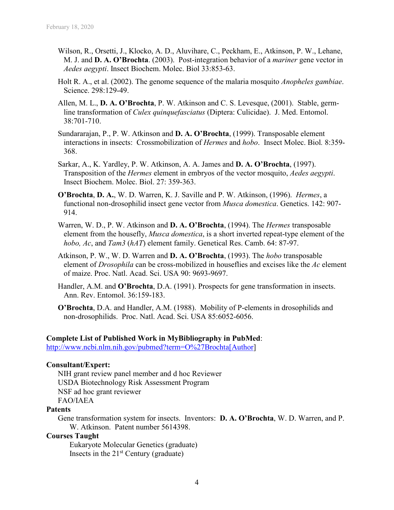- Wilson, R., Orsetti, J., Klocko, A. D., Aluvihare, C., Peckham, E., Atkinson, P. W., Lehane, M. J. and **D. A. O'Brochta**. (2003). Post-integration behavior of a *mariner* gene vector in *Aedes aegypti*. Insect Biochem. Molec. Biol 33:853-63.
- Holt R. A., et al. (2002). The genome sequence of the malaria mosquito *Anopheles gambiae*. Science. 298:129-49.
- Allen, M. L., **D. A. O'Brochta**, P. W. Atkinson and C. S. Levesque, (2001). Stable, germline transformation of *Culex quinquefasciatus* (Diptera: Culicidae). J. Med. Entomol. 38:701-710.
- Sundararajan, P., P. W. Atkinson and **D. A. O'Brochta**, (1999). Transposable element interactions in insects: Crossmobilization of *Hermes* and *hobo*. Insect Molec. Biol*.* 8:359- 368.
- Sarkar, A., K. Yardley, P. W. Atkinson, A. A. James and **D. A. O'Brochta**, (1997). Transposition of the *Hermes* element in embryos of the vector mosquito, *Aedes aegypti*. Insect Biochem. Molec. Biol. 27: 359-363.
- **O'Brochta**, **D. A.**, W. D. Warren, K. J. Saville and P. W. Atkinson, (1996). *Hermes*, a functional non-drosophilid insect gene vector from *Musca domestica*. Genetics. 142: 907- 914.
- Warren, W. D., P. W. Atkinson and **D. A. O'Brochta**, (1994). The *Hermes* transposable element from the housefly, *Musca domestica*, is a short inverted repeat-type element of the *hobo, Ac*, and *Tam3* (*hAT*) element family. Genetical Res. Camb. 64: 87-97.
- Atkinson, P. W., W. D. Warren and **D. A. O'Brochta**, (1993). The *hobo* transposable element of *Drosophila* can be cross-mobilized in houseflies and excises like the *Ac* element of maize. Proc. Natl. Acad. Sci. USA 90: 9693-9697.
- Handler, A.M. and **O'Brochta**, D.A. (1991). Prospects for gene transformation in insects. Ann. Rev. Entomol. 36:159-183.
- **O'Brochta**, D.A. and Handler, A.M. (1988). Mobility of P-elements in drosophilids and non-drosophilids. Proc. Natl. Acad. Sci. USA 85:6052-6056.

## **Complete List of Published Work in MyBibliography in PubMed**:

[http://www.ncbi.nlm.nih.gov/pubmed?term=O%27Brochta\[Author\]](http://www.ncbi.nlm.nih.gov/pubmed?term=O%27Brochta%5bAuthor)

## **Consultant/Expert:**

NIH grant review panel member and d hoc Reviewer USDA Biotechnology Risk Assessment Program NSF ad hoc grant reviewer FAO/IAEA

#### **Patents**

Gene transformation system for insects. Inventors: **D. A. O'Brochta**, W. D. Warren, and P. W. Atkinson. Patent number 5614398.

## **Courses Taught**

Eukaryote Molecular Genetics (graduate) Insects in the  $21<sup>st</sup>$  Century (graduate)